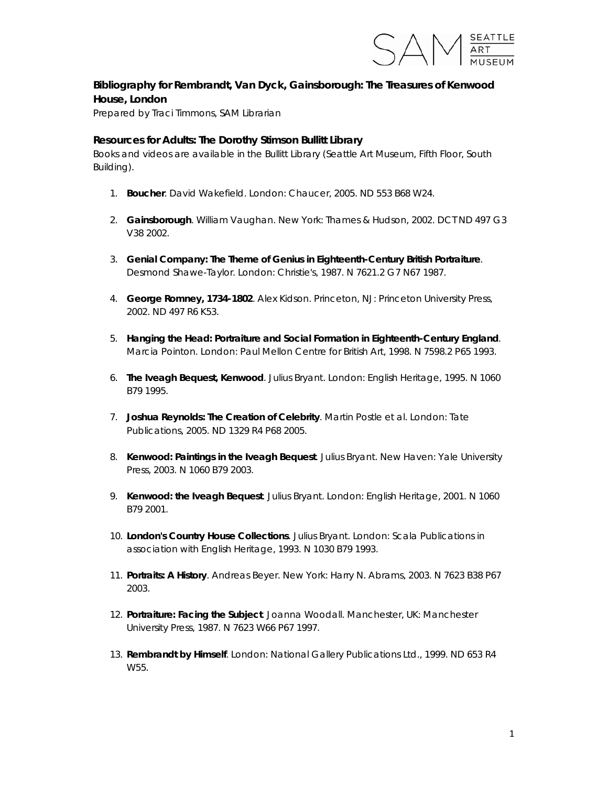

## **Bibliography for** *Rembrandt, Van Dyck, Gainsborough: The Treasures of Kenwood House, London*

Prepared by Traci Timmons, SAM Librarian

## **Resources for Adults: The Dorothy Stimson Bullitt Library**

*Books and videos are available in the Bullitt Library (Seattle Art Museum, Fifth Floor, South Building).* 

- 1. **Boucher**. David Wakefield. London: Chaucer, 2005. ND 553 B68 W24.
- 2. **Gainsborough**. William Vaughan. New York: Thames & Hudson, 2002. DCT ND 497 G3 V38 2002.
- 3. **Genial Company: The Theme of Genius in Eighteenth-Century British Portraiture**. Desmond Shawe-Taylor. London: Christie's, 1987. N 7621.2 G7 N67 1987.
- 4. **George Romney, 1734-1802**. Alex Kidson. Princeton, NJ: Princeton University Press, 2002. ND 497 R6 K53.
- 5. **Hanging the Head: Portraiture and Social Formation in Eighteenth-Century England**. Marcia Pointon. London: Paul Mellon Centre for British Art, 1998. N 7598.2 P65 1993.
- 6. **The Iveagh Bequest, Kenwood**. Julius Bryant. London: English Heritage, 1995. N 1060 B79 1995.
- 7. **Joshua Reynolds: The Creation of Celebrity**. Martin Postle et al. London: Tate Publications, 2005. ND 1329 R4 P68 2005.
- 8. **Kenwood: Paintings in the Iveagh Bequest**. Julius Bryant. New Haven: Yale University Press, 2003. N 1060 B79 2003.
- 9. **Kenwood: the Iveagh Bequest**. Julius Bryant. London: English Heritage, 2001. N 1060 B79 2001.
- 10. **London's Country House Collections**. Julius Bryant. London: Scala Publications in association with English Heritage, 1993. N 1030 B79 1993.
- 11. **Portraits: A History**. Andreas Beyer. New York: Harry N. Abrams, 2003. N 7623 B38 P67 2003.
- 12. **Portraiture: Facing the Subject**. Joanna Woodall. Manchester, UK: Manchester University Press, 1987. N 7623 W66 P67 1997.
- 13. **Rembrandt by Himself**. London: National Gallery Publications Ltd., 1999. ND 653 R4 W55.